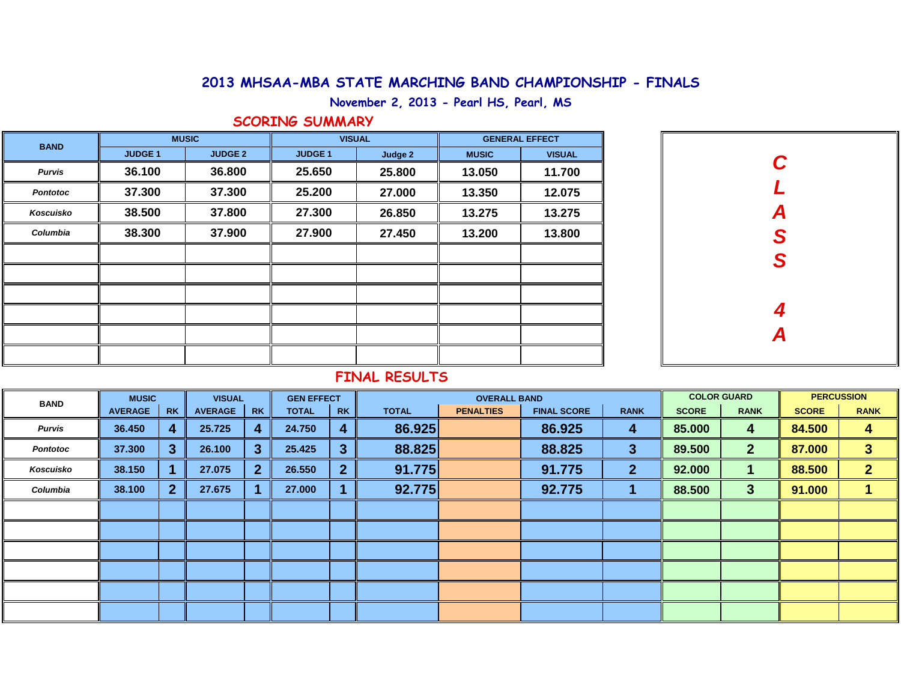## **2013 MHSAA-MBA STATE MARCHING BAND CHAMPIONSHIP - FINALS**

**November 2, 2013 - Pearl HS, Pearl, MS**

## **SCORING SUMMARY**

| <b>BAND</b>     |                | <b>MUSIC</b>   |                | <b>VISUAL</b> | <b>GENERAL EFFECT</b> |               |  |  |  |
|-----------------|----------------|----------------|----------------|---------------|-----------------------|---------------|--|--|--|
|                 | <b>JUDGE 1</b> | <b>JUDGE 2</b> | <b>JUDGE 1</b> | Judge 2       | <b>MUSIC</b>          | <b>VISUAL</b> |  |  |  |
| <b>Purvis</b>   | 36.100         | 36.800         | 25.650         | 25.800        | 13.050                | 11.700        |  |  |  |
| <b>Pontotoc</b> | 37.300         | 37.300         | 25.200         | 27.000        | 12.075<br>13.350      |               |  |  |  |
| Koscuisko       | 38.500         | 37.800         | 27.300         | 26.850        | 13.275                | 13.275        |  |  |  |
| Columbia        | 38.300         | 37.900         | 27.900         | 27.450        | 13.200                | 13.800        |  |  |  |
|                 |                |                |                |               |                       |               |  |  |  |
|                 |                |                |                |               |                       |               |  |  |  |
|                 |                |                |                |               |                       |               |  |  |  |
|                 |                |                |                |               |                       |               |  |  |  |
|                 |                |                |                |               |                       |               |  |  |  |
|                 |                |                |                |               |                       |               |  |  |  |

| C<br>L        |
|---------------|
| ASS           |
|               |
|               |
| $\frac{4}{A}$ |
|               |
|               |

# **FINAL RESULTS**

| <b>BAND</b>     | <b>MUSIC</b>         |                | <b>VISUAL</b>               |              | <b>GEN EFFECT</b> |                 |              | <b>OVERALL BAND</b> |                    | <b>COLOR GUARD</b> |              | <b>PERCUSSION</b> |              |                |
|-----------------|----------------------|----------------|-----------------------------|--------------|-------------------|-----------------|--------------|---------------------|--------------------|--------------------|--------------|-------------------|--------------|----------------|
|                 | <b>AVERAGE</b><br>RK |                | <b>RK</b><br><b>AVERAGE</b> |              | <b>TOTAL</b>      | <b>RK</b>       | <b>TOTAL</b> | <b>PENALTIES</b>    | <b>FINAL SCORE</b> | <b>RANK</b>        | <b>SCORE</b> | <b>RANK</b>       | <b>SCORE</b> | <b>RANK</b>    |
| <b>Purvis</b>   | 36.450               | 4              | 25.725                      | 4            | 24.750            | 4               | 86.925       |                     | 86.925             | 4                  | 85.000       | 4                 | 84.500       | 4              |
| <b>Pontotoc</b> | 37.300               | 3 <sup>°</sup> | 26.100                      | $\mathbf{3}$ | 25.425            | 3               | 88.825       |                     | 88.825             | 3                  | 89.500       | $\mathbf{2}$      | 87.000       | $\mathbf{3}$   |
| Koscuisko       | 38.150               |                | 27.075                      | $\mathbf{2}$ | 26.550            | $\vert 2 \vert$ | 91.775       |                     | 91.775             | $\mathbf{2}$       | 92.000       |                   | 88.500       | $\overline{2}$ |
| Columbia        | 38.100               | 2 <sup>1</sup> | 27.675                      |              | 27.000            |                 | 92.775       |                     | 92.775             |                    | 88.500       | 3 <sup>2</sup>    | 91.000       |                |
|                 |                      |                |                             |              |                   |                 |              |                     |                    |                    |              |                   |              |                |
|                 |                      |                |                             |              |                   |                 |              |                     |                    |                    |              |                   |              |                |
|                 |                      |                |                             |              |                   |                 |              |                     |                    |                    |              |                   |              |                |
|                 |                      |                |                             |              |                   |                 |              |                     |                    |                    |              |                   |              |                |
|                 |                      |                |                             |              |                   |                 |              |                     |                    |                    |              |                   |              |                |
|                 |                      |                |                             |              |                   |                 |              |                     |                    |                    |              |                   |              |                |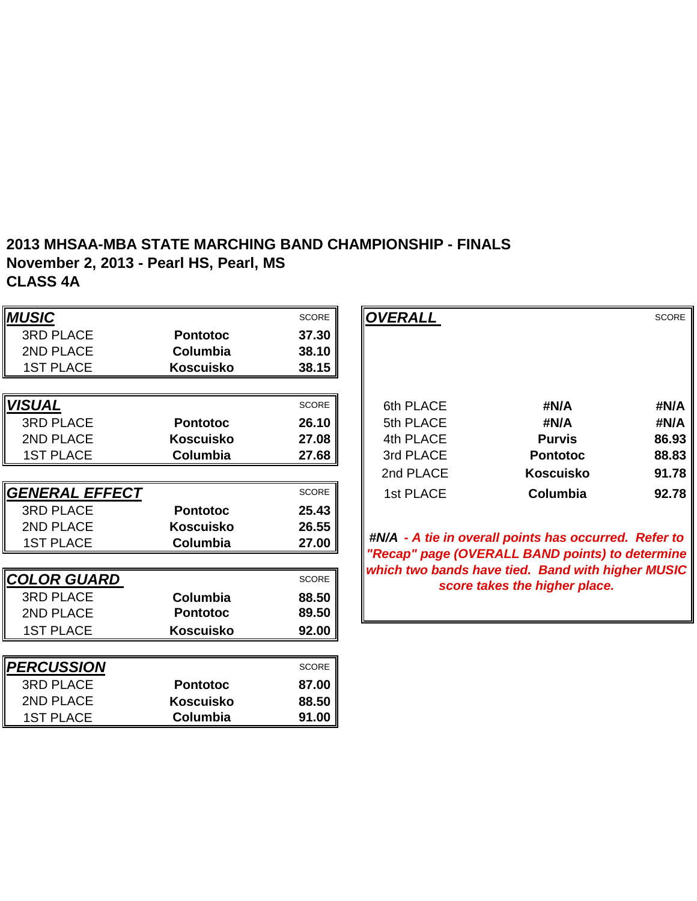#### **2013 MHSAA-MBA STATE MARCHING BAND CHAMPIONSHIP - FINALS November 2, 2013 - Pearl HS, Pearl, MS CLASS 4A**

**Columbia 91.00**

| <b>MUSIC</b>          |                  | <b>SCORE</b> | <b>OVERALL</b> |                                                                                                      | <b>SCORE</b> |
|-----------------------|------------------|--------------|----------------|------------------------------------------------------------------------------------------------------|--------------|
| <b>3RD PLACE</b>      | <b>Pontotoc</b>  | 37.30        |                |                                                                                                      |              |
| 2ND PLACE             | Columbia         | 38.10        |                |                                                                                                      |              |
| <b>1ST PLACE</b>      | <b>Koscuisko</b> | 38.15        |                |                                                                                                      |              |
|                       |                  |              |                |                                                                                                      |              |
| <b>VISUAL</b>         |                  | <b>SCORE</b> | 6th PLACE      | #N/A                                                                                                 | #N/A         |
| <b>3RD PLACE</b>      | <b>Pontotoc</b>  | 26.10        | 5th PLACE      | #N/A                                                                                                 | #N/A         |
| 2ND PLACE             | <b>Koscuisko</b> | 27.08        | 4th PLACE      | <b>Purvis</b>                                                                                        | 86.93        |
| <b>1ST PLACE</b>      | Columbia         | 27.68        | 3rd PLACE      | <b>Pontotoc</b>                                                                                      | 88.83        |
|                       |                  |              | 2nd PLACE      | <b>Koscuisko</b>                                                                                     | 91.78        |
| <b>GENERAL EFFECT</b> |                  | <b>SCORE</b> | 1st PLACE      | <b>Columbia</b>                                                                                      | 92.78        |
| <b>3RD PLACE</b>      | <b>Pontotoc</b>  | 25.43        |                |                                                                                                      |              |
| 2ND PLACE             | <b>Koscuisko</b> | 26.55        |                |                                                                                                      |              |
| <b>1ST PLACE</b>      | Columbia         | 27.00        |                | #N/A - A tie in overall points has occurred. Refer to                                                |              |
|                       |                  |              |                | "Recap" page (OVERALL BAND points) to determine<br>which two bands have tied. Band with higher MUSIC |              |
| <b>COLOR GUARD</b>    |                  | <b>SCORE</b> |                | score takes the higher place.                                                                        |              |
| <b>3RD PLACE</b>      | <b>Columbia</b>  | 88.50        |                |                                                                                                      |              |
| 2ND PLACE             | <b>Pontotoc</b>  | 89.50        |                |                                                                                                      |              |
| <b>1ST PLACE</b>      | <b>Koscuisko</b> | 92.00        |                |                                                                                                      |              |
|                       |                  |              |                |                                                                                                      |              |
| <b>PERCUSSION</b>     |                  | <b>SCORE</b> |                |                                                                                                      |              |
| <b>3RD PLACE</b>      | <b>Pontotoc</b>  | 87.00        |                |                                                                                                      |              |
| 2ND PLACE             | <b>Koscuisko</b> | 88.50        |                |                                                                                                      |              |

1ST PLACE

|                 | <b>SCORE</b> | OVERALL   |                  | <b>SCORE</b> |
|-----------------|--------------|-----------|------------------|--------------|
| <b>Pontotoc</b> | 37.30        |           |                  |              |
| <b>Columbia</b> | 38.10        |           |                  |              |
| Koscuisko       | 38.15        |           |                  |              |
|                 |              |           |                  |              |
|                 | <b>SCORE</b> | 6th PLACE | #N/A             | #N/A         |
| <b>Pontotoc</b> | 26.10        | 5th PLACE | #N/A             | #N/A         |
| Koscuisko       | 27.08        | 4th PLACE | <b>Purvis</b>    | 86.93        |
| Columbia        | 27.68        | 3rd PLACE | <b>Pontotoc</b>  | 88.83        |
|                 |              | 2nd PLACE | <b>Koscuisko</b> | 91.78        |
|                 | <b>SCORE</b> | 1st PLACE | Columbia         | 92.78        |
| <b>Pontotoc</b> | 25.43        |           |                  |              |